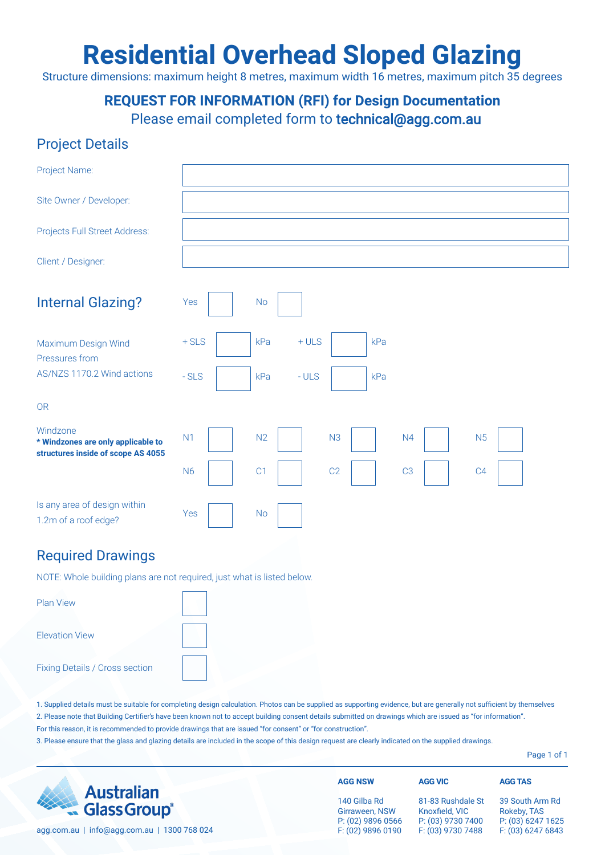# **Residential Overhead Sloped Glazing**

Structure dimensions: maximum height 8 metres, maximum width 16 metres, maximum pitch 35 degrees

**REQUEST FOR INFORMATION (RFI) for Design Documentation**

Please email completed form to technical@agg.com.au

### Project Details

| Project Name:                                                                        |                                                                            |
|--------------------------------------------------------------------------------------|----------------------------------------------------------------------------|
| Site Owner / Developer:                                                              |                                                                            |
| Projects Full Street Address:                                                        |                                                                            |
| Client / Designer:                                                                   |                                                                            |
| <b>Internal Glazing?</b>                                                             | Yes<br><b>No</b>                                                           |
| Maximum Design Wind<br>Pressures from<br>AS/NZS 1170.2 Wind actions                  | $+ULS$<br>$+$ SLS<br>kPa<br>kPa<br>$-SLS$<br>$-ULS$<br>kPa<br>kPa          |
| <b>OR</b>                                                                            |                                                                            |
| Windzone<br>* Windzones are only applicable to<br>structures inside of scope AS 4055 | N2<br>N <sub>3</sub><br>N <sub>1</sub><br>N <sub>5</sub><br>N <sub>4</sub> |
|                                                                                      | C1<br>C2<br><b>N6</b><br>C <sub>3</sub><br>C <sub>4</sub>                  |
| Is any area of design within<br>1.2m of a roof edge?                                 | Yes<br><b>No</b>                                                           |

#### Required Drawings

NOTE: Whole building plans are not required, just what is listed below.

| <b>Plan View</b>               |  |
|--------------------------------|--|
| <b>Elevation View</b>          |  |
| Fixing Details / Cross section |  |

1. Supplied details must be suitable for completing design calculation. Photos can be supplied as supporting evidence, but are generally not sufficient by themselves 2. Please note that Building Certifier's have been known not to accept building consent details submitted on drawings which are issued as "for information". For this reason, it is recommended to provide drawings that are issued "for consent" or "for construction".

3. Please ensure that the glass and glazing details are included in the scope of this design request are clearly indicated on the supplied drawings.

Page 1 of 1

|                                                                    | <b>AGG NSW</b>                                      | <b>AGG VIC</b>                                           | <b>AGG TAS</b>                                      |
|--------------------------------------------------------------------|-----------------------------------------------------|----------------------------------------------------------|-----------------------------------------------------|
| <b>Australian</b><br><b>Australian</b><br>Glass Group <sup>®</sup> | 140 Gilba Rd<br>Girraween, NSW<br>P: (02) 9896 0566 | 81-83 Rushdale St<br>Knoxfield, VIC<br>P: (03) 9730 7400 | 39 South Arm Rd<br>Rokeby, TAS<br>P: (03) 6247 1625 |
| agg.com.au   info@agg.com.au   1300 768 024                        | F: (02) 9896 0190                                   | F: (03) 9730 7488                                        | F: (03) 6247 6843                                   |